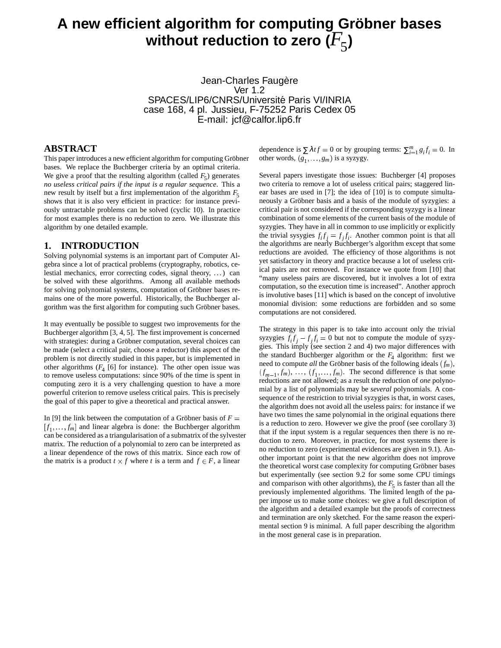# **A new efficient algorithm for computing Grobner ¨ bases** without reduction to zero  $(F_5)$

Jean-Charles Faugère Ver 1.2 SPACES/LIP6/CNRS/Université Paris VI/INRIA case 168, 4 pl. Jussieu, F-75252 Paris Cedex 05 E-mail: jcf@calfor.lip6.fr

# **ABSTRACT**

This paper introduces a new efficient algorithm for computing Gröbner bases. We replace the Buchberger criteria by an optimal criteria. We give a proof that the resulting algorithm (called  $F_5$ ) generates *no useless critical pairs if the input is a regular sequence*. This a new result by itself but a first implementation of the algorithm  $F_5$ shows that it is also very efficient in practice: for instance previously untractable problems can be solved (cyclic 10). In practice for most examples there is no reduction to zero. We illustrate this algorithm by one detailed example.

#### **1. INTRODUCTION**

Solving polynomial systems is an important part of Computer Algebra since a lot of practical problems (cryptography, robotics, celestial mechanics, error correcting codes, signal theory, . . .) can be solved with these algorithms. Among all available methods for solving polynomial systems, computation of Gröbner bases remains one of the more powerful. Historically, the Buchberger algorithm was the first algorithm for computing such Gröbner bases.

It may eventually be possible to suggest two improvements for the Buchberger algorithm [3, 4, 5]. The first improvement is concerned with strategies: during a Gröbner computation, several choices can be made (select a critical pair, choose a reductor) this aspect of the problem is not directly studied in this paper, but is implemented in other algorithms  $(F_4 \text{ [6] for instance}).$  The other open issue was to remove useless computations: since 90% of the time is spent in computing zero it is a very challenging question to have a more powerful criterion to remove useless critical pairs. This is precisely the goal of this paper to give a theoretical and practical answer.

In [9] the link between the computation of a Gröbner basis of  $F =$  $[f_1, \ldots, f_m]$  and linear algebra is done: the Buchberger algorithm can be considered as a triangularisation of a submatrix of the sylvester matrix. The reduction of a polynomial to zero can be interpreted as a linear dependence of the rows of this matrix. Since each row of the matrix is a product  $t \times f$  where *t* is a term and  $f \in F$ , a linear

dependence is  $\sum \lambda t f = 0$  or by grouping terms:  $\sum_{i=1}^{m} g_i f_i = 0$ . In other words,  $(g_1, \ldots, g_m)$  is a syzygy.

Several papers investigate those issues: Buchberger [4] proposes two criteria to remove a lot of useless critical pairs; staggered linear bases are used in [7]; the idea of [10] is to compute simultaneously a Gröbner basis and a basis of the module of syzygies: a critical pair is not considered if the corresponding syzygy is a linear combination of some elements of the current basis of the module of syzygies. They have in all in common to use implicitly or explicitly the trivial sysygies  $f_i f_j = f_j f_i$ . Another common point is that all the algorithms are nearly Buchberger's algorithm except that some reductions are avoided. The efficiency of those algorithms is not yet satisfactory in theory and practice because a lot of useless critical pairs are not removed. For instance we quote from [10] that "many useless pairs are discovered, but it involves a lot of extra computation, so the execution time is increased". Another approch is involutive bases [11] which is based on the concept of involutive monomial division: some reductions are forbidden and so some computations are not considered.

The strategy in this paper is to take into account only the trivial syzygies  $f_i f_j - f_j f_i = 0$  but not to compute the module of syzygies. This imply (see section 2 and 4) two major differences with the standard Buchberger algorithm or the  $F_4$  algorithm: first we need to compute *all* the Gröbner basis of the following ideals  $(f_m)$ ,  $(f_{m-1}, f_m)$ , ...,  $(f_1, \ldots, f_m)$ . The second difference is that some -reductions are not allowed; as a result the reduction of *one* polynomial by a list of polynomials may be *several* polynomials. A consequence of the restriction to trivial syzygies is that, in worst cases, the algorithm does not avoid all the useless pairs: for instance if we have two times the same polynomial in the original equations there is a reduction to zero. However we give the proof (see corollary 3) that if the input system is a regular sequences then there is no reduction to zero. Moreover, in practice, for most systems there is no reduction to zero (experimental evidences are given in 9.1). Another important point is that the new algorithm does not improve the theoretical worst case complexity for computing Gröbner bases but experimentally (see section 9.2 for some some CPU timings and comparison with other algorithms), the  $F_5$  is faster than all the previously implemented algorithms. The limited length of the paper impose us to make some choices: we give a full description of the algorithm and a detailed example but the proofs of correctness and termination are only sketched. For the same reason the experimental section 9 is minimal. A full paper describing the algorithm in the most general case is in preparation.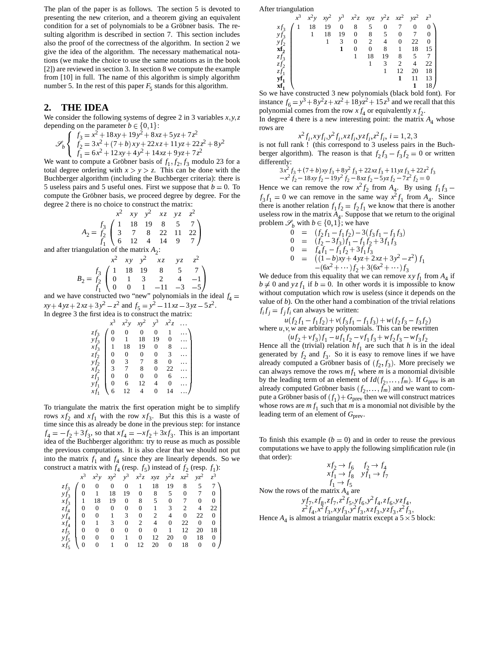The plan of the paper is as follows. The section 5 is devoted to presenting the new criterion, and a theorem giving an equivalent condition for a set of polynomials to be a Gröbner basis. The resulting algorithm is described in section 7. This section includes also the proof of the correctness of the algorithm. In section 2 we give the idea of the algorithm. The necessary mathematical notations (we make the choice to use the same notations as in the book [2]) are reviewed in section 3. In section 8 we compute the example from [10] in full. The name of this algorithm is simply algorithm number 5. In the rest of this paper  $F_5$  stands for this algorithm.

# **2. THE IDEA**

We consider the following systems of degree 2 in 3 variables  $x, y, z$ depending on the parameter  $b \in \{0, 1\}$ :

$$
\mathcal{S}_b \left\{ \begin{array}{l} f_3 = x^2 + 18xy + 19y^2 + 8xz + 5yz + 7z^2 \\ f_2 = 3x^2 + (7 + b)xy + 22xz + 11yz + 22z^2 + 8y^2 \\ f_1 = 6x^2 + 12xy + 4y^2 + 14xz + 9yz + 7z^2 \end{array} \right.
$$

We want to compute a Gröbner basis of  $f_1$ ,  $f_2$ ,  $f_3$  modulo 23 for a total degree ordering with  $x > y > z$ . This can be done with the Buchberger algorithm (including the Buchberger criteria): there is 5 useless pairs and 5 useful ones. First we suppose that  $b = 0$ . To He compute the Gröbner basis, we proceed degree by degree. For the degree 2 there is no choice to construct the matrix:

$$
x^{2} \quad xy \quad y^{2} \quad xz \quad yz \quad z^{2}
$$
\n
$$
A_{2} = \frac{f_{3}}{f_{2}} \begin{pmatrix} 1 & 18 & 19 & 8 & 5 & 7 \\ 3 & 7 & 8 & 22 & 11 & 22 \\ 5 & 12 & 4 & 14 & 9 & 7 \end{pmatrix}
$$
\nmultiplying the partial equation 1.

and after triangulation of the matrix  $A_2$ :

$$
B_2 = \frac{f_3}{f_1} \begin{pmatrix} x^2 & xy & y^2 & xz & yz & z^2 \\ 1 & 18 & 19 & 8 & 5 & 7 \\ 0 & 1 & 3 & 2 & 4 & -1 \\ 1 & 0 & 0 & 1 & -11 & -3 & -5 \end{pmatrix}
$$

and we have constructed two "new" polynomials in the ideal *f*  $xy + 4yz + 2xz + 3y^2 - z^2$  and  $f_5 = y^2 - 11xz - 3yz - 5z^2$ . In degree 3 the first idea is to construct the matrix:

|        | $x^2y$       |    |    | $xy^2$ $y^3$ $x^2z$ |  |
|--------|--------------|----|----|---------------------|--|
| $zf_3$ |              |    |    |                     |  |
|        | $\mathbf{1}$ | 18 | 19 |                     |  |
|        | 18           | 19 |    |                     |  |
|        |              |    |    |                     |  |
|        |              |    |    |                     |  |
|        |              |    |    | 22                  |  |
|        |              |    |    |                     |  |

To triangulate the matrix the first operation might be to simplify rows  $xf_2$  and  $xf_1$  with the row  $xf_3$ . But this this is a waste of time since this as already be done in the previous step: for instance  $f_4 = -f_2 + 3f_3$ , so that  $xf_4 = -xf_2 + 3xf_3$ . This is an important idea of the Buchberger algorithm: try to reuse as much as possible the previous computations. It is also clear that we should not put into the matrix  $f_1$  and  $f_4$  since they are linearly depends. So we construct a matrix with  $f_4$  (resp.  $f_5$ ) instead of  $f_2$  (resp.  $f_1$ ):

 $zf_1$  0 0 0 0 6 ...  $y f_1$  0 6 12 4 0 ...  $x f_1$   $\begin{pmatrix} 0 & 6 & 12 & 4 & 0 & \cdots \\ 6 & 12 & 4 & 0 & 14 & \cdots \end{pmatrix}$ 

$$
x^3 \quad x^2y \quad xy^2 \quad y^3 \quad x^2z \quad xyz \quad y^2z \quad xz^2 \quad yz^2 \quad z^3
$$
\n
$$
x^4y \quad xy^2 \quad y^3 \quad x^2z \quad xyz \quad y^2z \quad xz^2 \quad yz^2 \quad z^3
$$
\n
$$
x^4y \quad 0 \quad 0 \quad 0 \quad 0 \quad 1 \quad 18 \quad 19 \quad 8 \quad 5 \quad 7 \quad 0
$$
\n
$$
x^4y \quad 1 \quad 18 \quad 19 \quad 0 \quad 8 \quad 5 \quad 0 \quad 7 \quad 0
$$
\n
$$
x^4y \quad 0 \quad 0 \quad 0 \quad 0 \quad 0 \quad 1 \quad 3 \quad 2 \quad 4 \quad 0 \quad 22 \quad 0
$$
\n
$$
x^4y \quad 0 \quad 1 \quad 3 \quad 0 \quad 2 \quad 4 \quad 0 \quad 22 \quad 0 \quad 0
$$
\n
$$
x^4y \quad 0 \quad 0 \quad 0 \quad 0 \quad 0 \quad 0 \quad 1 \quad 12 \quad 20 \quad 18
$$
\n
$$
x^4y \quad 0 \quad 0 \quad 0 \quad 1 \quad 0 \quad 12 \quad 20 \quad 0 \quad 18 \quad 0
$$

After triangulation

|                                                     | $x^3$ $x^2y$ $xy^2$ $y^3$ $x^2z$ $xyz$ $y^2z$ $xz^2$ $yz^2$ $z^3$ |    |                |                |                 |                |                 |                 |                |
|-----------------------------------------------------|-------------------------------------------------------------------|----|----------------|----------------|-----------------|----------------|-----------------|-----------------|----------------|
|                                                     | 18                                                                | 19 | $\overline{0}$ | 8              | $5\overline{5}$ | $\overline{0}$ | $7\overline{ }$ | $\bf{0}$        | $\mathbf{0}$   |
| $\begin{array}{c} x f_3 \\ y f_3 \end{array}$       | $\overline{1}$                                                    | 18 | 19             | $\bf{0}$       | 8 <sup>8</sup>  | 5 <sup>5</sup> | $\overline{0}$  | $7\overline{ }$ | $\overline{0}$ |
|                                                     |                                                                   | -1 | 3              | $\overline{0}$ | 2               | $\overline{4}$ | $\theta$        | 22              | $\Omega$       |
|                                                     |                                                                   |    | 1              | $\Omega$       | $\theta$        | 8              | -1              | 18              | 15             |
|                                                     |                                                                   |    |                |                | 18              | 19             | 8               | -5              |                |
|                                                     |                                                                   |    |                |                |                 | 3              | 2               | $\overline{4}$  | 22             |
|                                                     |                                                                   |    |                |                |                 |                | 12              | 20              | 18             |
| $y f_2$<br>$x f_2$<br>$z f_3$<br>$z f_1$<br>$y f_1$ |                                                                   |    |                |                |                 |                | 1               | 11              | 13             |
| xf                                                  |                                                                   |    |                |                |                 |                |                 |                 | 18             |

**xf<sub>1</sub>**  $\left\{\n \begin{array}{c}\n 1 & 18 \\
 \end{array}\n \right\}$ <br>So we have constructed 3 new polynomials (black bold font). For instance  $f_6 = y^3 + 8y^2z + xz^2 + 18yz^2 + 15z^3$  and we recall that this polynomial comes from the row  $xf_4$  or equivalently  $xf_2$ .

In degree 4 there is a new interesting point: the matrix  $A_4$  whose rows are

$$
x^2 f_i, xy f_i, y^2 f_i, x z f_i, y z f_i, z^2 f_i, i = 1, 2, 3
$$

 $\frac{\lambda}{\lambda}$   $\frac{f_i \lambda y f_i y}{f_i \lambda z f_i y z f_i}$   $\frac{\lambda}{\lambda}$  *i*<sub>i</sub>,  $i = 1, 2, 3$ <br>is not full rank ! (this correspond to 3 useless pairs in the Buchberger algorithm). The reason is that  $f_2 f_3 - f_3 f_2 = 0$  or written differently:

$$
3x^2 f_3 + (7+b)xy f_3 + 8y^2 f_3 + 22xz f_3 + 11yz f_3 + 22z^2 f_3
$$
  

$$
-x^2 f_2 - 18xy f_2 - 19y^2 f_2 - 8xz f_2 - 5yz f_2 - 7z^2 f_2 = 0
$$

Hence we can remove the row  $x^2 f_2$  from  $A_4$ . By using  $f_1 f_3$  –  $f_3 f_1 = 0$  we can remove in the same way  $x^2 f_1$  from  $A_4$ . Since there is another relation  $f_1 f_2 = f_2 f_1$  we know that there is another useless row in the matrix  $A_4$ . Suppose that we return to the original problem  $\mathscr{S}_b$  with  $b \in \{0, 1\}$ ; we have

$$
0 = (f_2 f_1 - f_1 f_2) - 3(f_3 f_1 - f_1 f_3)
$$
  
\n
$$
0 = (f_2 - 3f_3) f_1 - f_1 f_2 + 3f_1 f_3
$$
  
\n
$$
0 = f_4 f_1 - f_1 f_2 + 3f_1 f_3
$$
  
\n
$$
0 = ((1 - b)xy + 4yz + 2xz + 3y^2 - z^2) f_1
$$
  
\n
$$
-(6x^2 + \cdots) f_2 + 3(6x^2 + \cdots) f_3
$$

 $\frac{4}{4}$  = value of *b*). On the other hand a combination of the trivial relations We deduce from this equality that we can remove  $xyf_1$  from  $A_4$  if  $b \neq 0$  and  $yz f_1$  if  $b = 0$ . In other words it is impossible to know without computation which row is useless (since it depends on the  $f_i f_j = f_j f_i$  can always be written:

where 
$$
u(f_2f_1 - f_1f_2) + v(f_3f_1 - f_1f_3) + w(f_2f_3 - f_3f_2)
$$
  
where  $u, v$ , we are arbitrary polynomials. This can be rewritten  

$$
u(f_1f_1 + f_2f_3 + f_3f_4) + w(f_1f_2 + f_3f_4) + w(f_1f_3 + f_4) + w(f_1f_3 + f_4)
$$

 $(uf_2 + vf_3)f_1 - uf_1f_2 - vf_1f_3 + wf_2f_3 - wf_3f_2$ Hence all the (trivial) relation  $hf_1$  are such that *h* is in the ideal generated by  $f_2$  and  $f_3$ . So it is easy to remove lines if we have already computed a Gröbner basis of  $(f_2, f_3)$ . More precisely we can always remove the rows  $mf_1$  where *m* is a monomial divisible by the leading term of an element of  $Id(f_2, \ldots, f_m)$ . If  $G_{prev}$  is an already computed Gröbner basis  $(f_2, \ldots, \bar{f}_m)$  and we want to compute a Gröbner basis of  $(f_1) + G_{\text{prev}}$  then we will construct matrices whose rows are  $mf_1$  such that  $m$  is a monomial not divisible by the leading term of an element of  $G<sub>prev</sub>$ .

To finish this example  $(b = 0)$  and in order to reuse the previous computations we have to apply the following simplification rule (in that order):

$$
xf_2 \rightarrow f_6 \qquad f_2 \rightarrow f_4
$$
  
\n
$$
xf_1 \rightarrow f_8 \qquad yf_1 \rightarrow f_7
$$
  
\n
$$
f_1 \rightarrow f_2
$$

Now the rows of the matrix  $A_4$  are

*y f* 7 *zf* 8 *zf* 7 *z* 2 *f* 5 *y f* 6 *y* 2 *f* 4 *zf* 6 *yzf* 4 *z* 2 *f x* 2 *f x y f y* 2 *f x zf yzf z* 2 *f*

Hence  $A_4$  is almost a triangular matrix except a  $5 \times 5$  block: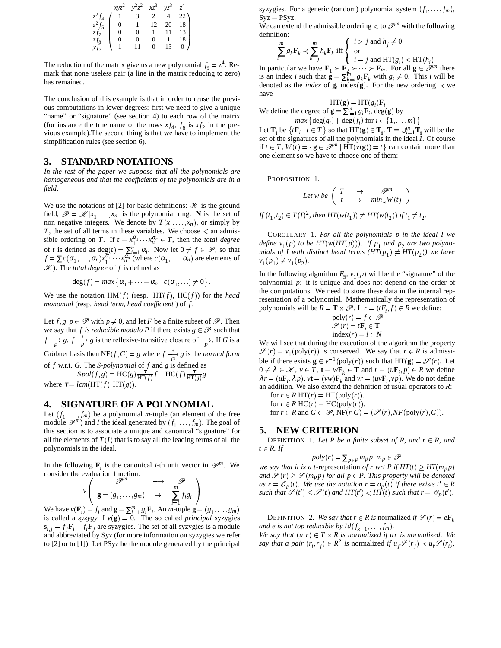| $xyz^2$ $y^2z^2$ $xz^3$ $yz^3$ $z^4$                                                                                                                                                      |  |  |
|-------------------------------------------------------------------------------------------------------------------------------------------------------------------------------------------|--|--|
| $\begin{array}{c cccc} z^2f_4 & 1 & 3 & 2 & 4 & 22 \\ z^2f_5 & 0 & 1 & 12 & 20 & 18 \\ zf_7 & 0 & 0 & 1 & 11 & 13 \\ zf_8 & 0 & 0 & 0 & 1 & 18 \\ yf_7 & 1 & 11 & 0 & 13 & 0 \end{array}$ |  |  |
|                                                                                                                                                                                           |  |  |
|                                                                                                                                                                                           |  |  |
|                                                                                                                                                                                           |  |  |
|                                                                                                                                                                                           |  |  |

The reduction of the matrix give us a new polynomial  $f_9 = z^4$ . Remark that none useless pair (a line in the matrix reducing to zero) has remained.

The conclusion of this example is that in order to reuse the previous computations in lower degrees: first we need to give a unique "name" or "signature" (see section 4) to each row of the matrix (for instance the true name of the rows  $xf_4$ ,  $f_6$  is  $xf_2$  in the previous example).The second thing is that we have to implement the simplification rules (see section 6).

## **3. STANDARD NOTATIONS**

*In the rest of the paper we suppose that all the polynomials are homogeneous and that the coefficients of the polynomials are in a field*.

We use the notations of [2] for basic definitions:  $\mathcal{K}$  is the ground field,  $\mathscr{P} = \mathscr{K}[x_1, \dots, x_n]$  is the polynomial ring. **N** is the set of non negative integers. We denote by  $T(x_1, \ldots, x_n)$ , or simply by  $T$ , the set of all terms in these variables. We choose  $\lt$  an admissible ordering on *T*. If  $t = x_1^{\alpha_1} \cdots x_n^{\alpha_n} \in T$ , then the *total degree* of *t* is defined as  $\deg(t) = \sum_{i=1}^{n} \alpha_i$ . Now let  $0 \neq f \in \mathcal{P}$ , so that  $f = \sum c(\alpha_1, \ldots, \alpha_n) x_1^{\alpha_1} \cdots x_n^{\alpha_n}$  (where  $c(\alpha_1, \ldots, \alpha_n)$  are elements of ). The *total degree* of *f* is defined as

$$
\deg(f) = \max \{ \alpha_1 + \cdots + \alpha_n \mid c(\alpha_1, \ldots) \neq 0 \}.
$$

We use the notation  $HM(f)$  (resp.  $HT(f)$ ,  $HC(f)$ ) for the *head monomial* (resp. *head term*, *head coefficient* ) of *f* .

Let  $f, g, p \in \mathscr{P}$  with  $p \neq 0$ , and let *F* be a finite subset of  $\mathscr{P}$ . Then we say that *f* is *reducible* modulo *P* if there exists  $g \in \mathcal{P}$  such that  $f \rightarrow P$  *g*.  $f \rightarrow P$  *g* is the reflexive-transitive closure of  $\rightarrow P$ . If *G* is a Gröbner basis then  $NF(f, G) = g$  where  $f \xrightarrow[G]{*} g$  is the *normal form* of *f* w.r.t. *G*. The *S-polynomial* of *f* and *g* is defined as  $Spol(f, g) = \text{HC}(g) \frac{\tau}{\text{HT}(f)} f - \text{HC}(f) \frac{\tau}{\text{HT}(g)} g$ where  $\tau = lcm(HT(f), HT(g)).$ 

# **4. SIGNATURE OF A POLYNOMIAL**

Let  $(f_1, \ldots, f_m)$  be a polynomial *m*-tuple (an element of the free module  $\mathscr{P}^m$ ) and *I* the ideal generated by  $(f_1, \ldots, f_m)$ . The goal of -this section is to associate a unique and canonical "signature" for all the elements of  $T(I)$  that is to say all the leading terms of all the polynomials in the ideal.

In the following  $\mathbf{F}_i$  is the canonical *i*-th unit vector in  $\mathcal{P}^m$ . We consider the evaluation function:

$$
v\left(\begin{array}{ccc}\n\mathscr{P}^{m} & \longrightarrow & \mathscr{P} \\
\mathbf{g} = (g_1, \ldots, g_m) & \mapsto & \sum_{i=1}^{m} f_i g_i\n\end{array}\right)
$$

We have  $v(\mathbf{F}_i) = f_i$  and  $\mathbf{g} = \sum_{i=1}^m g_i \mathbf{F}_i$ . An *m*-tuple  $\mathbf{g} = (g_1, \dots, g_m)$ is called a *syzygy* if  $v(g) = 0$ . The so called *principal* syzygies  $\mathbf{s}_{i,j} = f_j \mathbf{F}_i - f_i \mathbf{F}_j$  are syzygies. The set of all syzygies is a module and abbreviated by Syz (for more information on syzygies we refer to [2] or to [1]). Let PSyz be the module generated by the principal

syzygies. For a generic (random) polynomial system  $(f_1, \ldots, f_m)$ ,  $Syz = PSyz$ .

We can extend the admissible ordering  $<$  to  $\mathcal{P}^m$  with the following definition:

$$
\sum_{k=i}^{m} g_k \mathbf{F}_k \prec \sum_{k=j}^{m} h_k \mathbf{F}_k \text{ iff } \begin{cases} i > j \text{ and } h_j \neq 0 \\ \text{ or } \\ i = j \text{ and } \text{HT}(g_i) < \text{HT}(h_i) \\ \text{ if } i \in \mathbb{R} \text{ and } \text{HT}(g_i) < \text{HT}(h_i) \end{cases}
$$

In particular we have  $\mathbf{F}_1 \succ \mathbf{F}_2 \succ \cdots \succ \mathbf{F}_m$ . For all  $\mathbf{g} \in \mathcal{P}^m$  there is an index *i* such that  $\mathbf{g} = \sum_{k=1}^{m} g_k \mathbf{F}_k$  with  $g_i \neq 0$ . This *i* will be denoted as the *index* of **g**, index(**g**). For the new ordering  $\prec$  we have

$$
HT(\mathbf{g}) = HT(g_i) \mathbf{F}_i
$$
  
We define the degree of  $\mathbf{g} = \sum_{i=1}^{m} g_i \mathbf{F}_i$ , deg(g) by

 $max\{deg(g_i) + deg(f_i) \text{ for } i \in \{1, ..., m\}\}\$ Let  $\mathbf{T}_i$  be  $\{t\mathbf{F}_i \mid t \in T\}$  so that  $HT(\mathbf{g}) \in \mathbf{T}_i$ .  $\mathbf{T} = \bigcup_{i=1}^m \mathbf{T}_i$  will be the set of the signatures of all the polynomials in the ideal *I*. Of course if  $t \in T$ ,  $W(t) = {\bf g \in \mathscr{P}^m | HT(v({\bf g})) = t}$  can contain more than one element so we have to choose one of them:

PROPOSITION 1.

Let w be 
$$
\begin{pmatrix} T & \longrightarrow & \mathcal{P}^m \\ t & \mapsto & \min_{\mathbf{x}} W(t) \end{pmatrix}
$$

 $If (t_1, t_2) \in T(I)^2$ , then  $HT(w(t_1)) \neq HT(w(t_2))$  if  $t_1 \neq t_2$ .

COROLLARY 1. *For all the polynomials p in the ideal I we define*  $v_1(p)$  *to be*  $HT(w(HT(p)))$ *.* If  $p_1$  *and*  $p_2$  *are two polynomials of I* with distinct head terms  $(HT(p_1) \neq HT(p_2))$  we have  $v_1(p_1) \neq v_1(p_2)$ .

In the following algorithm  $F_5$ ,  $v_1(p)$  will be the "signature" of the polynomial *p*: it is unique and does not depend on the order of the computations. We need to store these data in the internal representation of a polynomial. Mathematically the representation of polynomials will be  $R = \mathbf{T} \times \mathcal{P}$ . If  $r = (tF_i, f) \in R$  we define:

$$
\begin{array}{l}\n\text{poly}(r) = f \in \mathcal{P} \\
\mathcal{S}(r) = t\mathbf{F}_i \in \mathbf{T} \\
\text{index}(r) = i \in N\n\end{array}
$$

W e will see that during the execution of the algorithm the property  $v(r) = v_1(\text{poly}(r))$  is conserved. We say that  $r \in R$  is admissible if there exists  $\mathbf{g} \in v^{-1}(\text{poly}(r))$  such that  $HT(\mathbf{g}) = \mathcal{S}(r)$ . Let  $0 \neq \lambda \in \mathcal{K}$ ,  $v \in T$ ,  $\mathbf{t} = w \mathbf{F}_k \in \mathbf{T}$  and  $r = (u \mathbf{F}_i, p) \in R$  we define  $\lambda r = (u\mathbf{F}_i, \lambda p)$ ,  $vt = (vw)\mathbf{F}_k$  and  $vr = (uv\mathbf{F}_i, vp)$ . We do not define an addition. We also extend the definition of usual operators to *R*:

for  $r \in R$  HT $(r) = HT(poly(r)).$ for  $r \in R$  HC( $r$ ) = HC( $poly(r)$ ).

for  $r \in R$  and  $G \subset \mathcal{P}$ ,  $NF(r, G) = (\mathcal{S}(r), NF(poly(r), G)).$ 

# **5. NEW CRITERION**

DEFINITION 1. Let *P* be a finite subset of *R*, and  $r \in R$ , and  $t \in R$ *. If* 

 $poly(r) = \sum_{p \in P} m_p p \ m_p \in \mathcal{P}$ 

*we say that it is a t*-representation *of r wrt*  $P$  *if*  $HT(t) \geq HT(m_p p)$ and  $\mathscr{S}(r) \geq \mathscr{S}(m_p p)$  for all  $p \in P$ . This property will be denoted *as*  $r = \mathcal{O}_P(t)$ . We use the notation  $r = o_P(t)$  if there exists  $t' \in R$ such that  $\mathscr{S}(t') \leq \mathscr{S}(t)$  and  $HT(t') < HT(t)$  such that  $r = \mathscr{O}_P(t')$ .

DEFINITION 2. We say that  $r \in R$  is normalized if  $\mathscr{S}(r) = e\mathbf{F}_k$ *and e is not top reducible by*  $Id(f_{k+1}, \ldots, f_m)$ .

We say that  $(u, r) \in T \times R$  is normalized if  $ur$  is normalized. We say that a pair  $(r_i, r_j) \in R^2$  is normalized if  $u_j \mathscr{S}(r_j) \prec u_i \mathscr{S}(r_i)$ ,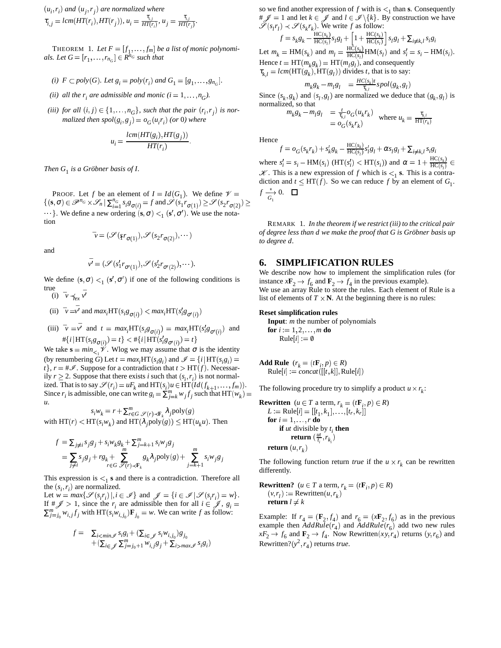$$
(u_i, r_i) \text{ and } (u_j, r_j) \text{ are normalized where}
$$
  

$$
\tau_{i,j} = lcm(HT(r_i), HT(r_j)), u_i = \frac{\tau_{i,j}}{HT(r_i)}, u_j = \frac{\tau_{i,j}}{HT(r_j)}.
$$

THEOREM 1. Let  $F = [f_1, \ldots, f_m]$  be a list of monic polynomi $als.$  Let  $G = [r_1, \ldots, r_{n_G}] \in R^{n_G}$  such that

(i) 
$$
F \subset poly(G)
$$
. Let  $g_i = poly(r_i)$  and  $G_1 = [g_1, \ldots, g_{n_G}].$ 

- *(ii) all the*  $r_i$  *are admissible and monic*  $(i = 1, ..., n_G)$ .
- *(iii) for all*  $(i, j) \in \{1, \ldots, n_G\}$ , such that the pair  $(r_i, r_j)$  is nor- $J$  *malized then*  $spol(g_i, g_j) = o_G(u_i r_i)$  *(or 0) where*

$$
u_i = \frac{lcm(HT(g_i), HT(g_j))}{HT(r_i)}.
$$

*Then*  $G_1$  *is a Gröbner basis of I.* 

PROOF. Let *f* be an element of  $I = Id(G_1)$ . We define  $\mathcal{V} = \int \frac{dI}{G_1}$ .  $\{(\mathbf{s}, \sigma) \in \mathscr{P}^{n_G} \times \mathscr{S}_n | \sum_{i=1}^{n_G} s_i g_{\sigma(i)} = f \text{ and } \mathscr{S}(s_1 r_{\sigma(1)}) \geq \mathscr{S}(s_2 r_{\sigma(2)}) \geq 0$  $\cdot \cdot \cdot$ }. We define a new ordering  $(\mathbf{s}, \sigma) <sub>1</sub> (\mathbf{s}', \sigma')$ . We use the notation

$$
\mathbf{v} = (\mathcal{S}(r_{\sigma(1)}), \mathcal{S}(s_2r_{\sigma(2)}), \cdots)
$$

and

$$
\bar{\mathbf{v}'} = (\mathscr{S}(s'_1 r_{\sigma'(1)}), \mathscr{S}(s'_2 r_{\sigma'(2)}), \cdots).
$$

We define  $(\mathbf{s}, \sigma) <_1 (\mathbf{s}', \sigma')$  if one of the following conditions is true

(i)  $\bar{v} \preceq_{ex} \bar{v'}$ 

(ii)  $\bar{v} = \bar{v'}$  and  $max_i HT(s_i g_{\sigma(i)}) < max_i HT(s'_i g_{\sigma'(i)})$  $\cdots$ 

(iii) 
$$
\bar{\nu} = \bar{\nu'}
$$
 and  $t = max_i HT(s_i g_{\sigma(i)}) = max_i HT(s'_i g_{\sigma'(i)})$  and  
 $\# \{ i | HT(s_i g_{\sigma(i)}) = t \} < \# \{ i | HT(s'_i g_{\sigma'(i)}) = t \}$ 

 $\cdots$ We take  $\mathbf{s} = \min_{\leq 1} \mathcal{V}$ . Wlog we may assume that  $\sigma$  is the identity (by renumbering *G*) Let  $t = max_i$  HT( $s_i g_i$ ) and  $\mathcal{I} = \{i | HT(s_i g_i) =$  $t$ ,  $r = #\mathscr{I}$ . Suppose for a contradiction that  $t > HT(f)$ . Necessarily  $r \ge 2$ . Suppose that there exists *i* such that  $(s_i, r_i)$  is not normalized. That is to say  $\mathscr{S}(r_i) = uF_k$  and  $HT(s_i)u \in HT(Id(f_{k+1}, \ldots, f_m)).$ Since  $r_i$  is admissible, one can write  $g_i = \sum_{j=k}^{m} w_j f_j$  such that HT( $w_k$ ) = *u*.

 $s_i w_k = r + \sum_{r \in G}^m \mathcal{S}(r) \prec \mathbf{F}_k} \lambda_j \text{poly}(g)$  $\text{with HT}(r) < \text{HT}(s_i w_k)$  and  $\text{HT}(\lambda_j \text{poly}(g)) \leq \text{HT}(u_k u)$ . Then

$$
f = \sum_{j \neq i} s_j g_j + s_i w_k g_k + \sum_{j=k+1}^m s_i w_j g_j
$$
  
= 
$$
\sum_{j \neq i} s_j g_j + r g_k + \sum_{r \in G}^m s_k \lambda_j \text{poly}(g) + \sum_{j=k+1}^m s_i w_j g_j
$$

This expression is  $\lt_1$  **s** and there is a contradiction. Therefore all the  $(s_i, r_i)$  are normalized.

Let  $w = max\{\mathcal{S}(s_ir_i)|, i \in \mathcal{I}\}$  and  $\mathcal{J} = \{i \in \mathcal{I} | \mathcal{S}(s_ir_i) = w\}.$ If  $\#\mathscr{J} > 1$ , since the  $r_i$  are admissible then for all  $i \in \mathscr{J}$ ,  $g_i =$  return .  $\sum_{j=j_0}^{m} w_{i,j} f_j$  with  $HT(s_i w_{i,j_0}) \mathbf{F}_{j_0} = w$ . We can write *f* as follow:

$$
f = \sum_{i < \min \mathcal{J}} s_i s_i + (\sum_{i \in \mathcal{J}} s_i w_{i,j_0}) g_{j_0}
$$
  
 
$$
+ (\sum_{i \in \mathcal{J}} \sum_{j=j_0+1}^m w_{i,j} g_j + \sum_{i > \max \mathcal{J}} s_i g_i)
$$

so we find another expression of  $f$  with is  $\lt_1$  than **s**. Consequently so we find another expression of f with  $1s <sub>1</sub>$  than s. Consequently<br>  $\# \mathscr{J} = 1$  and let  $k \in \mathscr{J}$  and  $l \in \mathscr{I} \backslash \{k\}$ . By construction we have  $(s_l r_l) \prec \mathcal{S}(s_k r_k)$ . We write *f* as follow:  $f = s_k g_k - \frac{\text{HC}(s_k)}{\text{HC}(s_l)} s_l g_l + \left[1 + \frac{\text{HC}(s_k)}{\text{HC}(s_l)}\right] s_l g_l + \sum_{i \neq k,l} s_i g_i$ 

Let  $m_k = \text{HM}(s_k)$  and  $m_l = \frac{\text{HC}(s_k)}{\text{HC}(s_l)} \text{HM}(s_l)$  and  $s'_i = s_i - \text{HM}(s_i)$ . Hence  $t = HT(m_k g_k) = HT(m_l g_l)$ , and consequently  $\tau_{k,l} = lcm(\text{HT}(g_k), \text{HT}(g_l))$  divides *t*, that is to say:

$$
m_k g_k - m_l g_l = \frac{HC(s_k)t}{\tau_{k,l}} spol(g_k, g_l)
$$

Since  $(s_k, g_k)$  and  $(s_l, g_l)$  are normalized we deduce that  $(g_k, g_l)$  is normalized, so that

$$
m_k g_k - m_l g_l = \frac{\tau}{\tau_{k,l}} o_G(u_k r_k)
$$
 where  $u_k = \frac{\tau_{k,l}}{HT(r_k)}$ 

Hence

$$
f = o_G(s_k r_k) + s'_k g_k - \frac{\text{HC}(s_k)}{\text{HC}(s_l)} s'_l g_l + \alpha s_l g_l + \sum_{i \neq k,l} s_i g_i
$$

where  $s_i' = s_i - \text{HM}(s_i)$  ( $\text{HT}(s_i') < \text{HT}(s_i)$ ) and  $\alpha = 1 + \frac{\text{HC}(s_k)}{\text{HC}(s_i)} \in$  $\mathcal{K}$ . This is a new expression of *f* which is  $\leq_1$  **s**. This is a contradiction and  $t \le HT(f)$ . So we can reduce f by an element of  $G_1$ .  $f \xrightarrow[G_1]{*} 0.$   $\Box$ 

REMARK 1. *In the theorem if we restrict (iii) to the critical pair*  $of$  *degree less than d we make the proof that G is Gröbner basis up to degree d.*

#### **6. SIMPLIFICATION RULES**

We describe now how to implement the simplification rules (for instance  $x\mathbf{F}_2 \rightarrow f_6$  and  $\mathbf{F}_2 \rightarrow f_4$  in the previous example). We use an array Rule to store the rules. Each element of Rule is a list of elements of  $T \times N$ . At the beginning there is no rules:

#### **Reset simplification rules**

**Input**: *m* the number of polynomials **for**  $i := 1, 2, ..., m$  **do**  $Rule[i] := \emptyset$ 

 $g_i$  = **Add Rule**  $(r_k = (t\mathbf{F}_i, p) \in R)$  $\text{Rule}[i] := concat([[t, k]], \text{Rule}[i])$ 

The following procedure try to simplify a product  $u \times r_k$ :

**Rewritten** 
$$
(u \in T \text{ a term}, r_k = (tF_i, p) \in R)
$$
  
\n $L := \text{Rule}[i] = [[t_1, k_1], ..., [t_r, k_r]]$   
\n**for**  $i = 1, ..., r \textbf{ do}$   
\n**if** *ut* divisible by  $t_i$  **then**  
\n**return**  $(\frac{ut}{t_i}, r_{k_i})$   
\n**return**  $(u, r_k)$ 

The following function return *true* if the  $u \times r_k$  can be rewritten differently.

**Rewritten?**  $(u \in T \text{ a term}, r_k = (t\mathbf{F}_i, p) \in R$  $(v, r_l) :=$  Rewritten  $(u, r_k)$ return  $l \neq k$ 

Example: If  $r_4 = (\mathbf{F}_2, f_4)$  and  $r_6 = (x\mathbf{F}_2, f_6)$  as in the previous example then  $AddRule(r_4)$  and  $\text{AddRule}(r_6)$  add two new rules  $xF_2 \rightarrow f_6$  and  $\mathbf{F}_2 \rightarrow f_4$ . Now Rewritten(*xy,r<sub>4</sub>*) returns (*y,r<sub>6</sub>*) and Rewritten? $(y^2, r_4)$  returns *true*.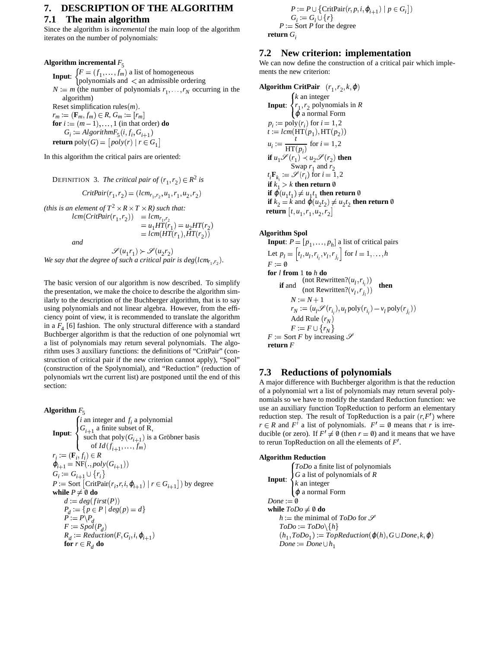## **7. DESCRIPTION OF THE ALGORITHM**

# **7.1 The main algorithm**

Since the algorithm is *incremental* the main loop of the algorithm iterates on the number of polynomials:

# **Algorithm** incremental  $F_5$

**Input:**  $\{F = (f_1, \ldots, f_m) \text{ a list of homogeneous }$ polynomials and  $\langle$  an admissible ordering  $N := m$  (the number of polynomials  $r_1, \ldots, r_N$  occurring in the algorithm) Reset simplification rules $(m)$ .  $r_m := (\mathbf{F}_m, f_m) \in R$ ,  $G_m := [r_m]$ **for**  $i := (m-1), \ldots, 1$  (in that order) **do**  $G_i := AlgorithmF_5(i, f_i, G_{i+1})$  $\textbf{return }\text{poly}(G) = \big[\textit{poly}(r) \mid r \in G_1\big]$ 

In this algorithm the critical pairs are oriented:

DEFINITION 3. *The critical pair of*  $(r_1, r_2) \in R^2$  *is*  $CritPair(r_1, r_2) = (lcm_{r_1, r_2}, u_1, r_1, u_2, r_2)$ *(this is an element of*  $T^2 \times R \times T \times R$ *) such that:*  $lcm(CritPair(r_1, r_2)) = lcm_{r_1, r_2}$ <br>  $= u_1 HT(r_1) = u_2 HT(r_2)$ <br>  $= lcm(HT(r_1), HT(r_2))$ 

*and*

 $\mathscr{S}(u_1r_1)\succ \mathscr{S}(u_2r_2)$ We say that the degree of such a critical pair is deg(lcm<sub>r<sub>1</sub>,r<sub>2</sub>).</sub>

The basic version of our algorithm is now described. To simplify the presentation, we make the choice to describe the algorithm similarly to the description of the Buchberger algorithm, that is to say using polynomials and not linear algebra. However, from the efficiency point of view, it is recommended to translate the algorithm in a  $F_4$  [6] fashion. The only structural difference with a standard Buchberger algorithm is that the reduction of one polynomial wrt a list of polynomials may return several polynomials. The algorithm uses 3 auxiliary functions: the definitions of "CritPair" (construction of critical pair if the new criterion cannot apply), "Spol" (construction of the Spolynomial), and "Reduction" (reduction of polynomials wrt the current list) are postponed until the end of this section:

**Algorithm**  $F_5$ **Input**:  $\cdot$  .  $\begin{array}{cc} 1 & 1 \\ 1 & 1 \end{array}$ *i* an integer and *f i* a polynomial  $G_{i+1}$  a finite subset of R,<br>such that poly  $(G_{i+1})$  is a Gröbner basis of  $Id(f_{i+1}, \ldots, f_m)$  $r_i := (\mathbf{F}_i, f_i) \in R$  $\varphi_{i+1} = \text{NF}(., poly(G_{i+1}))$  $G_i := G_{i+1} \cup \{r_i\}$  $P :=$  Sort  $\left[ \text{CritPair}(r_i, r, i, \varphi_{i+1}) \mid r \in G_{i+1} \right]$  by degree **while**  $P \neq \emptyset$  **do**  $d := deg(first(P))$  $P_d := \{ p \in P \mid deg(p) = d \}$  $P := P \setminus P_d$  $F := Spol(P_d)$  $R_d := \text{Reduction}(F, G_i, i, \varphi_{i+1})$ for  $r \in R^d$  do

$$
P := P \cup \{ \text{CritPair}(r, p, i, \varphi_{i+1}) \mid p \in G_i \} )
$$
  

$$
G_i := G_i \cup \{ r \}
$$
  

$$
P := \text{Sort } P \text{ for the degree}
$$

**return** *G<sup>i</sup>*

## **7.2 New criterion: implementation**

We can now define the construction of a critical pair which implements the new criterion:

Algorithm CritPair  $(r_1, r_2, k, \varphi)$ **Input**: *k* an integer  $r_1, r_2$  polynomials in *R*  $\varphi$  a normal Form  $p_i := \text{poly}(r_i)$  for  $i = 1, 2$  $t := lcm({\text{HT}}(p_1), {\text{HT}}(p_2))$  $u_i := \frac{t}{\text{HT}(p_i)}$  for  $i = 1, 2$ **if**  $u_1 \mathscr{S}(r_1) \prec u_2 \mathscr{S}(r_2)$  then  $t_i$ **F**<sub> $k_i$ </sub> :=  $\mathcal{S}(r_i)$  for  $i = 1, 2$ **if**  $k_1 > k$  **then return**  $\emptyset$ **if**  $\varphi(u_1 t_1) \neq u_1 t_1$  **then return**  $\emptyset$ **if**  $k_2 = k$  and  $\varphi(u_2 t_2) \neq u_2 t_2$  **then return**  $\emptyset$ **return**  $[t, u_1, r_1, u_2, r_2]$ 

#### **Algorithm Spol**

**Input**:  $P = [p_1, \ldots, p_h]$  a list of critical pairs Let  $p_l = [t_l, u_l, r_{i_l}, v_l, r_{j_l}]$  for  $l = 1, ..., h$  $F := \emptyset$  $F:=\emptyset$ **for** *l* **from** 1 **to** *h* **do if** and  $\frac{(\text{not Rewritten?}(u_l, r_{i_l}))}{(\text{not Rewritten?}(v_l, r_{j_l}))}$  then  $N := N + 1$  $N+1$  $r_N := (u_l \mathscr{S}(r_{i_l}), u_l \text{ poly}(r_{i_l}) - v_l \text{ poly}(r_{j_l}))$ Add Rule  $(r_N)$  $F := F \cup \{r_N\}$  $F :=$  Sort *F* by increasing  $\mathscr S$ **return** *F*

# **7.3 Reductions of polynomials**

A major difference with Buchberger algorithm is that the reduction of a polynomial wrt a list of polynomials may return several polynomials so we have to modify the standard Reduction function: we use an auxiliary function TopReduction to perform an elementary reduction step. The result of TopReduction is a pair  $(r, F')$  where  $r \in R$  and  $F'$  a list of polynomials.  $F' = \emptyset$  means that *r* is irreducible (or zero). If  $F' \neq \emptyset$  (then  $r = \emptyset$ ) and it means that we have to rerun TopReduction on all the elements of  $F'$ .

**Algorithm Reduction Input**: *ToDo* a finite list of polynomials *G* a list of polynomials of *R*  $\hat{k}$  an integer  $\varphi$  a normal Form  $Done := \emptyset$ **while**  $ToDo \neq \emptyset$  **do**  $h :=$  the minimal of *ToDo* for  $\mathscr S$  $ToDo := ToDo\setminus\{h\}$  $(h_1, \textit{ToDo}_1) := \textit{TopReduction}(\varphi(h), G \cup \textit{Done}, k, \varphi)$  $Done := Done \cup h_1$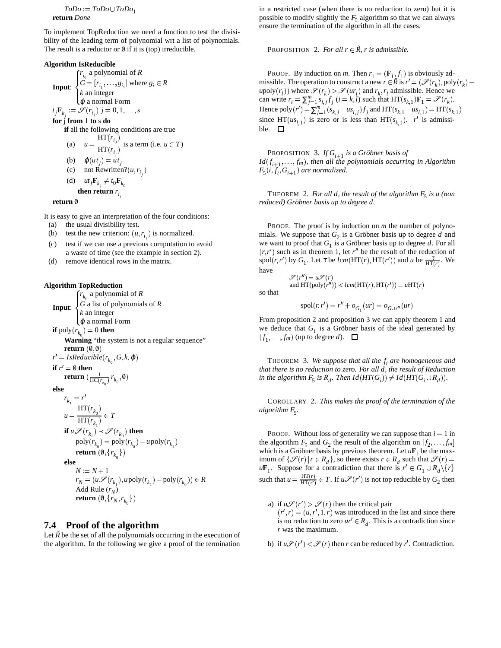$ToDo := ToDo \cup ToDo_1$ **return** *Done*

To implement TopReduction we need a function to test the divisibility of the leading term of polynomial wrt a list of polynomials. The result is a reductor or  $\emptyset$  if it is (top) irreducible.

#### **Algorithm IsReducible**

**Input**:  $\sqrt{ }$   $\mathbf{u}_1$ *r i* 0 a polynomial of *R*  $G = [r_{i_1}, \ldots, g_{i_s}]$  where  $g_i \in R$ *k* an integer  $\varphi$  a normal Form  $t_j$ **F**<sub> $k_j$ </sub> :=  $\mathscr{S}(r_{i_j})$   $j = 0, 1, ..., s$ **for** j **from** 1 **to** s **do if** all the following conditions are true (a)  $u = \frac{v_0}{\sqrt{|\mathbf{u}_0|^2}}$  is a to  $\frac{\text{HT}(r_{i_0})}{\text{HT}(r_{i_j})}$  is a f is a term (i.e.  $u \in T$ ) (b)  $\varphi(ut_j) = ut_j$ (c) not Rewritten? $(u, r_{i_j})$ (d)  $ut_j \mathbf{F}_{k_j} \neq t_0 \mathbf{F}_{k_0}$ then return  $r_{\hat{i}_j}$ 

**return** 0/

It is easy to give an interpretation of the four conditions: (a) the usual divisibility test.

- (b) test the new criterion:  $(u, r_{i_j})$  is normalized.
- (c) test if we can use a previous computation to avoid a waste of time (see the example in section 2).
- (d) remove identical rows in the matrix.

#### **Algorithm TopReduction**

**Input**:  $\left\{\right. \right\}$  *G* a list  $r_{k_0}$  a polynomial of *R G* a list of polynomials of *R k* an integer  $\varphi$  a normal Form **if**  $\text{poly}(r_{k_0}) = 0$  **then Warning** "the system is not a regular sequence" **return**  $(0,0)$  $r' = IsReducible(r_{k_0}, G, k, \varphi)$ **if**  $r' = \emptyset$  **then**  $\mathbf{return}\ (\frac{1}{\mathrm{HC}(r_{k_0})}\, r_{k_0}, \emptyset)$ **else**  $r_{k_1} = r'$  $u=\frac{u}{\sqrt{I(T)}}\in T$  $HT(r_{k_0})$ <sup>*r*</sup>  $\frac{R_0}{\text{HT}(r_{k_1})} \in T$ **if**  $u \mathscr{S}(r_{k_1}) \prec \mathscr{S}(r_{k_0})$  then  $poly(r_{k_0}) = poly(r_{k_0}) - upoly(r_{k_1})$  $\textbf{return } (\emptyset, \{r_{k_0}\})$ **else**  $N := N + 1$  $r_N = (u \mathcal{S}(r_{k_1}), u \text{poly}(r_{k_1}) - \text{poly}(r_{k_0})) \in R$ Add Rule (*r*<sub>*N*</sub>)  $\textbf{return } (\emptyset, \{r_N, r_{k_0}\})$ 

# **7.4 Proof of the algorithm**

Let  $\tilde{R}$  be the set of all the polynomials occurring in the execution of the algorithm. In the following we give a proof of the termination in a restricted case (when there is no reduction to zero) but it is possible to modify slightly the  $F_5$  algorithm so that we can always ensure the termination of the algorithm in all the cases.

PROPOSITION 2. *For all*  $r \in \tilde{R}$ *, r is admissible.* 

PROOF. By induction on *m*. Then  $r_1 = (\mathbf{F}_{1\cdot}\mathbf{f}_1)$  is obviously admissible. The operation to construct a new  $r \in \tilde{R}$  is  $r' = (\mathcal{S}(r_k), \text{poly}(r_k)$  $u \text{poly}(r_l)$  where  $\mathcal{S}(r_k) > \mathcal{S}(ur_l)$  and  $r_k, r_l$  admissible. Hence we can write  $r_i = \sum_{j=1}^m s_{i,j} f_j$  ( $i = k, l$ ) such that  $HT(s_{k,1})F_1 = \mathcal{S}(r_k)$ . Hence  $\text{poly}(r') = \sum_{j=1}^{m} (s_{k,j} - us_{l,j}) f_j$  and  $\text{HT}(s_{k,1} - us_{l,1}) = \text{HT}(s_{k,1})$ since  $HT(us_{l,1})$  is zero or is less than  $HT(s_{k,1})$ .  $r'$  is admissible.  $\square$ 

**PROPOSITION** 3. If  $G_{i+1}$  is a Gröbner basis of  $Id(f_{i+1}, \ldots, f_m)$ , then all the polynomials occurring in Algorithm  $F_5(i, f_i, G_{i+1})$  are normalized.

THEOREM 2. For all  $d$ , the result of the algorithm  $F_5$  is a (non *reduced) Grobner ¨ basis up to degree d.*

PROOF. The proof is by induction on *m* the number of polynomials. We suppose that  $G_2$  is a Gröbner basis up to degree  $d$  and we want to proof that  $G_1$  is a Gröbner basis up to degree *d*. For all  $(r, r')$  such as in theorem 1, let  $r''$  be the result of the reduction of spol(*r*, *r'*) by  $G_1$ . Let  $\tau$  be  $lcm(HT(r), HT(r'))$  and  $u$  be  $\frac{\tau}{HT(r)}$ . We have  $r''$ ) =  $u\mathscr{S}(r)$ 

so that

$$
spol(r,r') = r'' + o_{G_1}(ur) = o_{G \cup r''}(ur)
$$

and  $HT(\text{poly}(r'')) < lcm(HT(r), HT(r')) = uHT(r)$ 

From proposition 2 and proposition 3 we can apply theorem 1 and we deduce that  $G_1$  is a Gröbner basis of the ideal generated by  $(f_1, \ldots, f_m)$  (up to degree *d*).

THEOREM 3. *We suppose that all the f i are homogeneous and that there is no reduction to zero. For all d, the result of Reduction in the algorithm*  $F_5$  *is*  $R_d$ *. Then*  $Id(HT(G_i)) \neq Id(HT(G_i \cup R_d))$ *.* 

COROLLARY 2. *This makes the proof of the termination of the algorithm F*<sup>5</sup> *.*

PROOF. Without loss of generality we can suppose than  $i = 1$  in the algorithm  $F_5$  and  $G_2$  the result of the algorithm on  $[f_2, \ldots, f_m]$ which is a Gröbner basis by previous theorem. Let  $uF_1$  be the maximum of  $\{\mathcal{S}(r) | r \in R_d\}$ , so there exists  $r \in R_d$  such that  $\mathcal{S}(r) =$  $u\mathbf{F}_1$ . Suppose for a contradiction that there is  $r' \in G_1 \cup R_d \setminus \{r\}$ such that  $u = \frac{HT(r)}{HT(r)} \in T$ . If is  $\frac{H_1(r)}{HT(r')} \in T$ . If  $u\mathscr{S}(r')$  is not top reducible by  $G_2$  then

- a) if  $u \mathscr{S}(r') > \mathscr{S}(r)$  then the critical pair  $(r', r) = (u, r', 1, r)$  was introduced in the list and since there is no reduction to zero  $ur' \in R_d$ . This is a contradiction since *r* was the maximum.
- b) if  $u\mathscr{S}(r') < \mathscr{S}(r)$  then *r* can be reduced by *r*<sup>'</sup>. Contradiction.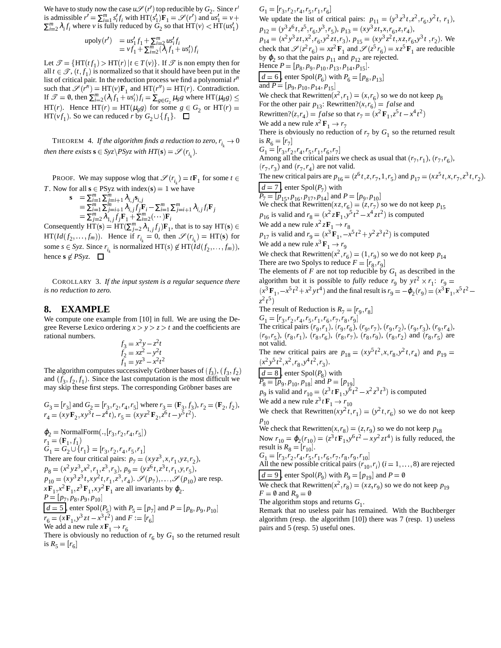We have to study now the case  $u\mathscr{S}(r')$  top reducible by  $G_2$ . Since  $r'$ is admissible  $r' = \sum_{i=1}^{m} s_i' f_i$  with  $HT(s'_1)F_1 = \mathcal{S}(r')$  and  $u s'_1 = v +$  We  $\sum_{i=2}^{m} \lambda_i f_i$  where *v* is fully reduced by  $G_2$  so that  $HT(v) < HT(uS_1')$ 

$$
\begin{array}{ll} u \text{poly}(r') & = us_1' f_1 + \sum_{i=2}^m u s_i' f_i \\ & = v f_1 + \sum_{i=2}^m (\lambda_i f_1 + us_i') f_i \end{array}
$$

*i*

Let  $\mathcal{T} = \{HT(tf_1) > HT(r) | t \in T(v)\}$ . If  $\mathcal T$  is non empty then for all  $t \in \mathcal{T}$ ,  $(t, f_1)$  is normalized so that it should have been put in the list of critical pair. In the reduction process we find a polynomial r<sup>*n*</sup> such that  $\mathscr{S}(r'') = HT(v)F_1$  and  $HT(r'') = HT(r)$ . Contradiction. If  $\mathcal{T} = 0$ , then  $\sum_{i=2}^{m} (\lambda_i f_1 + \mu s'_i) f_i = \sum_{g \in G_2} \mu_g g$  where HT( $\mu_g g$ )  $\leq$  We change  $HT(r)$ . Hence  $HT(r) = HT(\mu_g g)$  for some  $g \in G_2$  or  $HT(r) =$  For the original radius  $HT(vf_1)$ . So we can reduced *r* by  $G_2 \cup \{f_1\}$ .  $\Box$ 

THEOREM 4. *If the algorithm finds a reduction to zero, r i then there exists*  $\mathbf{s} \in Syz\backslash PSyz$  *with*  $HT(\mathbf{s}) = \mathscr{S}(r_{i_k})$ .

PROOF. We may suppose wlog that  $\mathcal{S}(r_{i_k}) = t\mathbf{F}_1$  for some  $t \in \mathbb{R}$ *T*. Now for all  $s \in \text{PSyz}$  with index  $(s) = 1$  we have

$$
\mathbf{s} = \sum_{i=1}^{m} \sum_{j=i+1}^{m} \lambda_{i,j} \mathbf{s}_{i,j} \n= \sum_{i=1}^{m} \sum_{j=i+1}^{m} \lambda_{i,j} f_j \mathbf{F}_i - \sum_{i=1}^{m} \sum_{j=i+1}^{m} \lambda_{i,j} f_i \mathbf{F}_j \n= \sum_{j=2}^{m} \lambda_{1,j} f_j \mathbf{F}_1 + \sum_{i=2}^{m} (\cdots) \mathbf{F}_i
$$

Consequently  $\text{HT}(\mathbf{s}) = \text{HT}(\sum_{j=2}^{m} \lambda_{1,j} f_j) \mathbf{F}_1$ , that is to say HT  $\text{HT}(Id(f_2, \ldots, f_m)).$  Hence if  $r_{i_k} = 0$ , then  $\mathscr{S}(r_{i_k}) = \text{HT}(\mathbf{s})$  for some  $s \in Syz$ . Since  $r_{i_k}$  is normalized  $HT(s) \notin HT(Id(f_2, \ldots, f_m)),$ hence  $\mathbf{s} \notin PSyz$ .  $\square$ 

COROLLARY 3. *If the input system is a regular sequence there is no reduction to zero.*

## **8. EXAMPLE**

We compute one example from [10] in full. We are using the Degree Reverse Lexico ordering  $x > y > z > t$  and the coefficients are rational numbers.

$$
f_3 = x^2y - z^2t
$$
  
\n
$$
f_2 = xz^2 - y^2t
$$
  
\n
$$
f_1 = yz^3 - x^2t^2
$$

The algorithm computes successively Gröbner bases of  $(f_3)$ ,  $(f_3, f_2)$ and  $(f_3, f_2, f_1)$ . Since the last computation is the most difficult we may skip these first steps. The corresponding Gröbner bases are

$$
G_3 = [r_3] \text{ and } G_2 = [r_3, r_2, r_4, r_5] \text{ where } r_3 = (\mathbf{F}_3, f_3), r_2 = (\mathbf{F}_2, f_2),
$$
  
\n
$$
r_4 = (xy\mathbf{F}_2, xy^3t - z^4t), r_5 = (xyz^2\mathbf{F}_2, z^6t - y^5t^2).
$$
  
\n
$$
\varphi_2 = \text{NormalForm}(., [r_3, r_2, r_4, r_5])
$$

$$
r_1 = (\mathbf{F}_1, f_1)
$$
  
\n
$$
G_1 = G_2 \cup \{r_1\} = [r_3, r_2, r_4, r_5, r_1]
$$
  
\nThere are four critical pairs:  $p_7 = (xyz^3, x, r_1, yz, r_2)$ ,  
\n
$$
p_8 = (x^2yz^3, x^2, r_1, z^3, r_3), p_9 = (yz^6t, z^3t, r_1, y, r_5),
$$
  
\n
$$
p_{10} = (xy^3z^3t, xy^2t, r_1, z^3, r_4). \mathcal{S}(p_7), ..., \mathcal{S}(p_{10})
$$
 are resp.  
\n
$$
xF_1, x^2 \mathbf{F}_1, z^3 \mathbf{F}_1, xy^2 \mathbf{F}_1
$$
 are all invariants by  $\varphi_2$ .  
\n
$$
\underline{P} = [\underline{p}_7, p_8, p_9, p_{10}]
$$
  
\n
$$
\underline{d = 5}
$$
, enter Spol( $P_5$ ) with  $P_5 = [p_7]$  and  $P = [p_8, p_9, p_{10}]$   
\n
$$
r_6 = (xF_1, y^3zt - x^3t^2)
$$
 and  $F := [r_6]$   
\nWe add a new rule  $x \mathbf{F}_1 \rightarrow r_6$ 

We add a new rule  $x \mathbf{F}_1 \rightarrow r_6$ <br>There is obviously no reduction of  $r_6$  by  $G_1$  so the returned result is  $R_5 = [r_6]$ 

*v*+ We update the list of critical pairs:  $p_{11} = (y^3 z^3 t, z^2, r_6, y^2 t, r_1)$ ,  $R_6 = [r_7]$ <br>*n* **s**)  $\in$  We add a new rule  $x^2 z \mathbf{F}_1 \rightarrow r_8$  $G_1 = [r_3, r_2, r_4, r_5, r_1, r_6]$  $p_{12} = (y^3 z^6 t, z^5, r_6, y^3, r_5), p_{13} = (xy^3 z t, x, r_6, z, r_4),$  $p_{14}^{\text{T}} = (x^2 y^3 z t, x^2, r_6, y^2 z t, r_3), p_{15}^{\text{T}} = (xy^3 z^2 t, x z, r_6, y^3 t, r_2).$  We check that  $\mathscr{S}(z^2 r_6) = xz^2 \mathbf{F}_1$  and  $\mathscr{S}(z^5 r_6) = xz^5 \mathbf{F}_1$  are reducible by  $\varphi_2$  so that the pairs  $p_{11}$  and  $p_{12}$  are rejected. Hence  $P = [p_8, p_9, p_{10}, p_{13}, p_{14}, p_{15}]$ .  $d = 6$ , enter Spol $(P_6)$  with  $P_6 = [p_8, p_{13}]$ and  $P = [p_9, p_{10}, p_{14}, p_{15}]$ We check that Rewritten $(x^2, r_1) = (x, r_6)$  so we do not keep  $p_8$ For the other pair  $p_{13}$ : Rewritten? $(x, r_6) = false$  and Rewritten?(*z*, *r*<sub>4</sub>) = *false* so that  $r_7 = (x^2 \mathbf{F}_1, z^5 t - x^4 t^2)$  $\mathbf{r}$  . The contract of the contract of the contract of the contract of the contract of the contract of the contract of the contract of the contract of the contract of the contract of the contract of the contract of th We add a new rule  $x^2 \mathbf{F}_1 \rightarrow r_7$ There is obviously no reduction of  $r_7$  by  $G_1$  so the returned result  $G_1 = [r_3, r_2, r_4, r_5, r_1, r_6, r$ Among all the critical pairs we check as usual that  $(r_7, r_1)$ ,  $(r_7, r_6)$ ,  $(r_7, r_3)$  and  $(r_7, r_4)$  are not valid. The new critical pairs are  $p_{16} = (z^6 t, z, r_7, 1, r_5)$  and  $p_{17} = (xz^5 t, x, r_7, z^3 t, r_2)$ .  $d = 7$ , enter Spol $(P_7)$  with  $P_7 = [p_{15}, p_{16}, p_{17}, p_{14}]$  and  $P = [p_9, p_{10}]$ We check that Rewritten $(xz, r_6) = (z, r_7)$  so we do not keep  $p_{15}$  $p_{16}$  is valid and  $r_8 = (x^2 z \mathbf{F}_1, y^5 t^2 - x^4 z t^2)$  is computed  $z\mathbf{F}_1 \rightarrow r_8$  $p_{17}$  is valid and  $r_9 = (x^3 \mathbf{F}_1, -x^5 t^2 + y^2 z^3 t^2)$  is computed We add a new rule  $x^3$   $\mathbf{F}_1 \rightarrow r_9$ We check that Rewritten $(x^2, r_6) = (1, r_9)$  so we do not keep  $p_{14}$ There are two Spolys to reduce  $F = [r_8, r_9]$ There are two sporys to reduce  $P = [r_8, r_9]$ <br>The elements of *F* are not top reducible by  $G_1$  as described in the algorithm but it is possible to *fully* reduce  $r_9$  by  $yt^2 \times r_1$ :  $r_9 =$  $(x^3 \mathbf{F}_1, -x^5 t^2 + x^2 y t^4)$  and the final result is  $r_9 = -\varphi_2(r_9) = (x^3 \mathbf{F}_1, x^5 t^2 - x^3 y t^4)$ *z* 2 *t* 5  $\mathbf{r}$  . The contract of  $\mathbf{r}$ The result of Reduction is  $R_7 = [r_9, r_8]$  $G_1 = [r_3, r_2, r_4, r_5, r_1, r_6, r_7, r_8, r_9]$ The critical pairs  $(r_9, r_1)$ ,  $(r_9, r_6)$ ,  $(r_9, r_7)$ ,  $(r_9, r_2)$ ,  $(r_9, r_3)$ ,  $(r_9, r_4)$ ,  $(r_9, r_5)$ ,  $(r_8, r_1)$ ,  $(r_8, r_6)$ ,  $(r_8, r_7)$ ,  $(r_8, r_9)$ ,  $(r_8, r_2)$  and  $(r_8, r_5)$  are not valid. The new critical pairs are  $p_{18} = (xy^5t^2, x, r_8, y^2t, r_4)$  and  $p_{19} =$  $(x^2y^5t^2, x^2, r_8, y^4t^2, r_3).$  $d = 8$ , enter  $Spol(P_8)$  with  $\overline{P_8}$  =  $\overline{p_9}$ ,  $p_{10}$ ,  $p_{18}$  and  $P = \overline{p_{19}}$  $p_9$  is valid and  $r_{10} = (z^3 t \mathbf{F}_1, y^6 t^2 - x^2 z^3 t^3)$  is computed We add a new rule  $z^3$   $t \mathbf{F}_1 \rightarrow r_{10}$ We check that Rewritten $(xy^2 t, r_1) = (y^2 t, r_6)$  so we do not keep  $p_{10}$ <br>We check that Rewritten  $(x, r_8) = (z, r_9)$  so we do not keep  $p_{18}$ <br>Now  $r = \omega(x_0) = (z_0^3 tR_0)^{6}t^2 - xy^2 z t^4$  is fully reduced Now  $r_{10} = \varphi_2(r_{10}) = (z^3 t \mathbf{F}_1, y^6 t^2 - xy^2 z t^4)$  is fully reduced, the result is  $R_8 = [r_{10}]$ .  $G_1 = [r_3, r_2, r_4, r_5, r_1, r_6, r_7, r_8, r_9, r_{10}]$ All the new possible critical pairs  $(r_{10}, r_i)$   $(i = 1, ..., 8)$  are rejected  $d = 9$ , enter Spol $(P_9)$  with  $P_9 = [p_{19}]$  and  $P = \emptyset$ We check that Rewritten $(x^2, r_8) = (xz, r_9)$  so we do not keep  $p_{19}$  $F = \emptyset$  and  $R_9 = \emptyset$ The algorithm stops and returns  $G_1$ . Remark that no useless pair has remained. With the Buchberger algorithm (resp. the algorithm [10]) there was 7 (resp. 1) useless pairs and 5 (resp. 5) useful ones.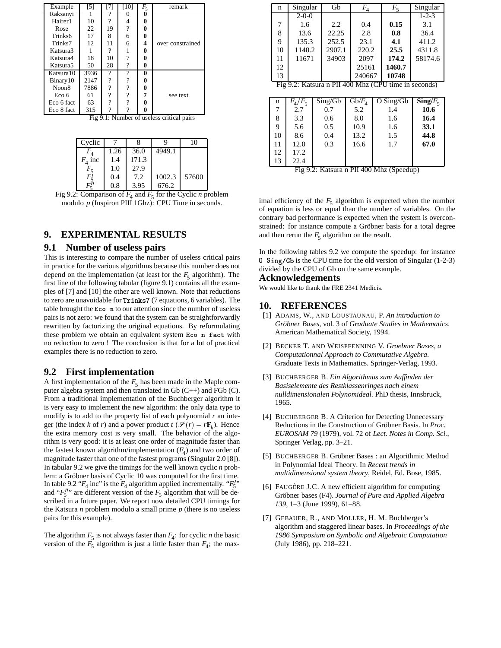| Example              | [5]  |               | [10]          | $F_{\rm g}$ | remark                                    |
|----------------------|------|---------------|---------------|-------------|-------------------------------------------|
| Raksanyi             | 1    | 9             |               | 0           |                                           |
| Hairer1              | 10   | $\mathcal{P}$ | 4             | 0           |                                           |
| Rose                 | 22   | 19            | $\mathcal{P}$ | 0           |                                           |
| Trinks6              | 17   | 8             | 6             | 0           |                                           |
| Trinks7              | 12   | 11            | 6             | 4           | over constrained                          |
| Katsura3             |      | 9             |               | 0           |                                           |
| Katsura4             | 18   | 10            |               | 0           |                                           |
| Katsura <sub>5</sub> | 50   | 28            | ?             | 0           |                                           |
| Katsura 10           | 3936 | ?             | ?             | 0           |                                           |
| Binary10             | 2147 | 9             | 9             | 0           |                                           |
| Noon8                | 7886 | 9             | 9             | 0           |                                           |
| Eco 6                | 61   | 9             | 9             | 7           | see text                                  |
| Eco 6 fact           | 63   | $\mathcal{P}$ | 9             | 0           |                                           |
| Eco 8 fact           | 315  | ?             |               | 0           |                                           |
|                      |      |               |               |             | Fig 9.1: Number of useless critical pairs |

| Cyclic             |      |       |        | 10    |
|--------------------|------|-------|--------|-------|
|                    | 1.26 | 36.0  | 4949.1 |       |
| $F_4$ inc          | 1.4  | 171.3 |        |       |
|                    | 1.0  | 27.9  |        |       |
| F!                 | 0.4  | 7.2   | 1002.3 | 57600 |
| $F^{\prime\prime}$ | 0.8  | 3.95  | 676.2  |       |

Fig 9.2: Comparison of  $F_4$  and  $F_5$  for the Cyclic *n* problem modulo *p* (Inspiron PIII 1Ghz): CPU Time in seconds.

# **9. EXPERIMENTAL RESULTS**

# **9.1 Number of useless pairs**

This is interesting to compare the number of useless critical pairs in practice for the various algorithms because this number does not depend on the implementation (at least for the  $F_5$  algorithm). The first line of the following tabular (figure 9.1) contains all the examples of [7] and [10] the other are well known. Note that reductions to zero are unavoidable for Trinks7 (7 equations, 6 variables). The table brought the Eco n to our attention since the number of useless pairs is not zero: we found that the system can be straightforwardly rewritten by factorizing the original equations. By reformulating these problem we obtain an equivalent system Eco n fact with no reduction to zero ! The conclusion is that for a lot of practical examples there is no reduction to zero.

### **9.2 First implementation**

A first implementation of the  $F_5$  has been made in the Maple computer algebra system and then translated in Gb (C++) and FGb (C). From a traditional implementation of the Buchberger algorithm it is very easy to implement the new algorithm: the only data type to modify is to add to the property list of each polynomial *r* an integer (the index *k* of *r*) and a power product  $t$  ( $\mathcal{S}(r) = r\mathbf{F}_k$ ). Hence the extra memory cost is very small. The behavior of the algorithm is very good: it is at least one order of magnitude faster than the fastest known algorithm/implementation  $(F_4)$  and two order of magnitude faster than one of the fastest programs (Singular 2.0 [8]). In tabular 9.2 we give the timings for the well known cyclic *n* problem: a Gröbner basis of Cyclic 10 was computed for the first time. In table 9.2 " $F_4$  inc" is the  $F_4$  algorithm applied incrementally. " $F_5''$ " " and " $F_5''$ " are different version of the  $F_5$  algorithm that will be described in a future paper. We report now detailed CPU timings for the Katsura *n* problem modulo a small prime *p* (there is no useless pairs for this example).

The algorithm  $F_5$  is not always faster than  $F_4$ : for cyclic *n* the basic version of the  $F_5$  algorithm is just a little faster than  $F_4$ ; the max-

| $\mathbf n$ | Singular    | Gb                                                   | $F_{\scriptscriptstyle A}$   | $F_5$       | Singular               |
|-------------|-------------|------------------------------------------------------|------------------------------|-------------|------------------------|
|             | $2 - 0 - 0$ |                                                      |                              |             | $1 - 2 - 3$            |
| 7           | 1.6         | 2.2                                                  | 0.4                          | 0.15        | 3.1                    |
| 8           | 13.6        | 22.25                                                | 2.8                          | 0.8         | 36.4                   |
| 9           | 135.3       | 252.5                                                | 23.1                         | 4.1         | 411.2                  |
| 10          | 1140.2      | 2907.1                                               | 220.2                        | 25.5        | 4311.8                 |
| 11          | 11671       | 34903                                                | 2097                         | 174.2       | 58174.6                |
| 12          |             |                                                      | 25161                        | 1460.7      |                        |
| 13          |             |                                                      | 240667                       | 10748       |                        |
|             |             | Fig 9.2: Katsura n PII 400 Mhz (CPU time in seconds) |                              |             |                        |
|             |             |                                                      |                              |             |                        |
| n           | $F_4/F_5$   | Sing/Gb                                              | $\overline{\text{Gb}/F_{4}}$ | $O$ Sing/Gb | $\text{Sing}/F_{\leq}$ |
| 7           | 2.7         | 0.7                                                  | 5.2                          | 1.4         | 10.6                   |
| 8           | 3.3         | 0.6                                                  | 8.0                          | 1.6         | 16.4                   |
| 9           | 5.6         | 0.5                                                  | 10.9                         | 1.6         | 33.1                   |
| 10          | 8.6         | 0.4                                                  | 13.2                         | 1.5         | 44.8                   |
|             |             |                                                      |                              |             |                        |
| 11          | 12.0        | 0.3                                                  | 16.6                         | 1.7         | 67.0                   |
| 12          | 17.2        |                                                      |                              |             |                        |

Fig 9.2: Katsura n PII 400 Mhz (Speedup)

imal efficiency of the  $F_5$  algorithm is expected when the number of equation is less or equal than the number of variables. On the contrary bad performance is expected when the system is overconstrained: for instance compute a Gröbner basis for a total degree and then rerun the  $F_5$  algorithm on the result.

In the following tables 9.2 we compute the speedup: for instance 0 Sing/Gb is the CPU time for the old version of Singular (1-2-3) divided by the CPU of Gb on the same example.

#### **Acknowledgements**

We would like to thank the FRE 2341 Medicis.

## **10. REFERENCES**

- [1] ADAMS, W., AND LOUSTAUNAU, P. *An introduction to Grobner ¨ Bases*, vol. 3 of *Graduate Studies in Mathematics*. American Mathematical Society, 1994.
- [2] BECKER T. AND WEISPFENNING V. *Groebner Bases, a Computationnal Approach to Commutative Algebra*. Graduate Texts in Mathematics. Springer-Verlag, 1993.
- [3] BUCHBERGER B. *Ein Algorithmus zum Auffinden der Basiselemente des Restklassenringes nach einem nulldimensionalen Polynomideal.* PhD thesis, Innsbruck, 1965.
- [4] BUCHBERGER B. A Criterion for Detecting Unnecessary Reductions in the Construction of Gröbner Basis. In *Proc. EUROSAM 79* (1979), vol. 72 of *Lect. Notes in Comp. Sci.*, Springer Verlag, pp. 3–21.
- [5] BUCHBERGER B. Gröbner Bases : an Algorithmic Method in Polynomial Ideal Theory. In *Recent trends in multidimensional system theory*, Reidel, Ed. Bose, 1985.
- [6] FAUGÈRE J.C. A new efficient algorithm for computing Gröbner bases (F4). *Journal of Pure and Applied Algebra 139*, 1–3 (June 1999), 61–88.
- [7] GEBAUER, R., AND MOLLER, H. M. Buchberger's algorithm and staggered linear bases. In *Proceedings of the 1986 Symposium on Symbolic and Algebraic Computation* (July 1986), pp. 218–221.